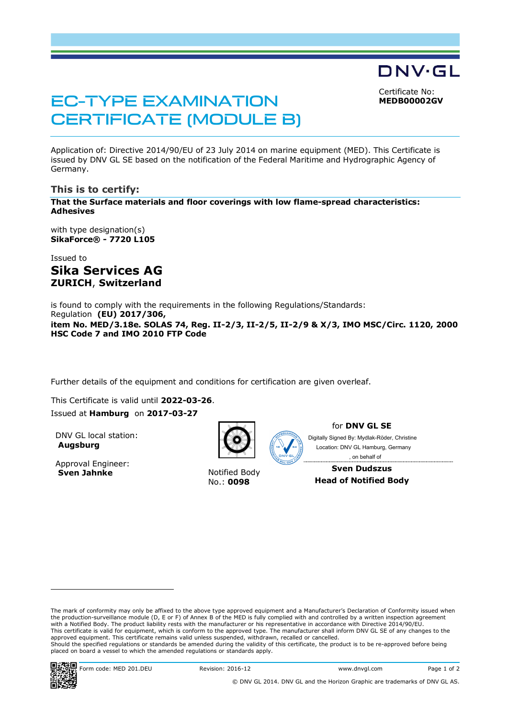Certificate No: **MEDB00002GV**

DNV·GL

# EC-TYPE EXAMINATION CERTIFICATE (MODULE B)

Application of: Directive 2014/90/EU of 23 July 2014 on marine equipment (MED). This Certificate is issued by DNV GL SE based on the notification of the Federal Maritime and Hydrographic Agency of Germany.

### **This is to certify:**

**That the Surface materials and floor coverings with low flame-spread characteristics: Adhesives**

with type designation(s) **SikaForce® - 7720 L105**

Issued to **Sika Services AG ZURICH**, **Switzerland**

is found to comply with the requirements in the following Regulations/Standards: Regulation **(EU) 2017/306, item No. MED/3.18e. SOLAS 74, Reg. II-2/3, II-2/5, II-2/9 & X/3, IMO MSC/Circ. 1120, 2000 HSC Code 7 and IMO 2010 FTP Code**

Further details of the equipment and conditions for certification are given overleaf.

This Certificate is valid until **2022-03-26**. Issued at **Hamburg** on **2017-03-27**

DNV GL local station: **Augsburg**

Approval Engineer: **Sven Jahnke** Notified Body



No.: **0098**



for **DNV GL SE**

Digitally Signed By: Mydlak-Röder, Christine Location: DNV GL Hamburg, Germany , on behalf of

**Sven Dudszus Head of Notified Body**

The mark of conformity may only be affixed to the above type approved equipment and a Manufacturer's Declaration of Conformity issued when the production-surveillance module (D, E or F) of Annex B of the MED is fully complied with and controlled by a written inspection agreement with a Notified Body. The product liability rests with the manufacturer or his representative in accordance with Directive 2014/90/EU. This certificate is valid for equipment, which is conform to the approved type. The manufacturer shall inform DNV GL SE of any changes to the approved equipment. This certificate remains valid unless suspended, withdrawn, recalled or cancelled. Should the specified regulations or standards be amended during the validity of this certificate, the product is to be re-approved before being placed on board a vessel to which the amended regulations or standards apply.